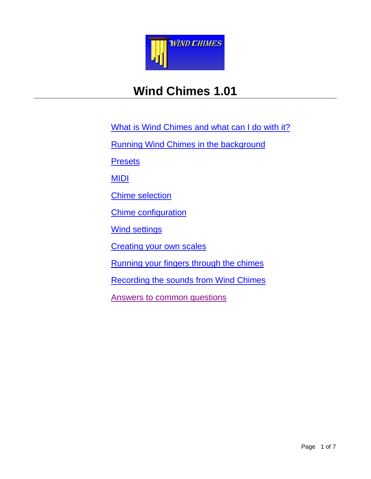

# **Wind Chimes 1.01**

What is Wind Chimes [and what can I do with it?](#page-1-0) Running Wind Chimes [in the background](#page-6-0) **[Presets](#page-2-0)** [MIDI](#page-3-0) [Chime selection](#page-3-1) [Chime configuration](#page-4-0) [Wind settings](#page-4-1) [Creating your own scales](#page-5-0) [Running your fingers through the chimes](#page-6-0) [Recording the sounds from Wind](#page-5-1) Chimes [Answers to common questions](#page-2-1)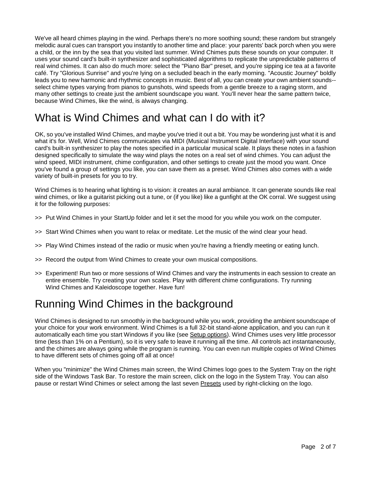We've all heard chimes playing in the wind. Perhaps there's no more soothing sound; these random but strangely melodic aural cues can transport you instantly to another time and place: your parents' back porch when you were a child, or the inn by the sea that you visited last summer. Wind Chimes puts these sounds on your computer. It uses your sound card's built-in synthesizer and sophisticated algorithms to replicate the unpredictable patterns of real wind chimes. It can also do much more: select the "Piano Bar" preset, and you're sipping ice tea at a favorite café. Try "Glorious Sunrise" and you're lying on a secluded beach in the early morning. "Acoustic Journey" boldly leads you to new harmonic and rhythmic concepts in music. Best of all, you can create your own ambient sounds- select chime types varying from pianos to gunshots, wind speeds from a gentle breeze to a raging storm, and many other settings to create just the ambient soundscape you want. You'll never hear the same pattern twice, because Wind Chimes, like the wind, is always changing.

## <span id="page-1-0"></span>What is Wind Chimes and what can I do with it?

OK, so you've installed Wind Chimes, and maybe you've tried it out a bit. You may be wondering just what it is and what it's for. Well, Wind Chimes communicates via MIDI (Musical Instrument Digital Interface) with your sound card's built-in synthesizer to play the notes specified in a particular musical scale. It plays these notes in a fashion designed specifically to simulate the way wind plays the notes on a real set of wind chimes. You can adjust the wind speed, MIDI instrument, chime configuration, and other settings to create just the mood you want. Once you've found a group of settings you like, you can save them as a preset. Wind Chimes also comes with a wide variety of built-in presets for you to try.

Wind Chimes is to hearing what lighting is to vision: it creates an aural ambiance. It can generate sounds like real wind chimes, or like a guitarist picking out a tune, or (if you like) like a gunfight at the OK corral. We suggest using it for the following purposes:

- >> Put Wind Chimes in your StartUp folder and let it set the mood for you while you work on the computer.
- >> Start Wind Chimes when you want to relax or meditate. Let the music of the wind clear your head.
- >> Play Wind Chimes instead of the radio or music when you're having a friendly meeting or eating lunch.
- >> Record the output from Wind Chimes to create your own musical compositions.
- >> Experiment! Run two or more sessions of Wind Chimes and vary the instruments in each session to create an entire ensemble. Try creating your own scales. Play with different chime configurations. Try running Wind Chimes and Kaleidoscope together. Have fun!

## Running Wind Chimes in the background

Wind Chimes is designed to run smoothly in the background while you work, providing the ambient soundscape of your choice for your work environment. Wind Chimes is a full 32-bit stand-alone application, and you can run it automatically each time you start Windows if you like (see Setup options). Wind Chimes uses very little processor time (less than 1% on a Pentium), so it is very safe to leave it running all the time. All controls act instantaneously, and the chimes are always going while the program is running. You can even run multiple copies of Wind Chimes to have different sets of chimes going off all at once!

When you "minimize" the Wind Chimes main screen, the Wind Chimes logo goes to the System Tray on the right side of the Windows Task Bar. To restore the main screen, click on the logo in the System Tray. You can also pause or restart Wind Chimes or select among the last seven Presets used by right-clicking on the logo.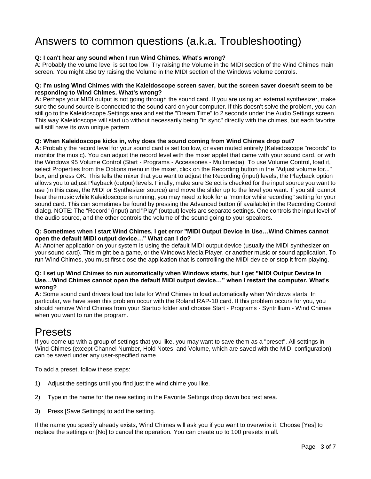## <span id="page-2-1"></span>Answers to common questions (a.k.a. Troubleshooting)

### **Q: I can't hear any sound when I run Wind Chimes. What's wrong?**

A: Probably the volume level is set too low. Try raising the Volume in the MIDI section of the Wind Chimes main screen. You might also try raising the Volume in the MIDI section of the Windows volume controls.

### **Q: I'm using Wind Chimes with the Kaleidoscope screen saver, but the screen saver doesn't seem to be responding to Wind Chimes. What's wrong?**

**A:** Perhaps your MIDI output is not going through the sound card. If you are using an external synthesizer, make sure the sound source is connected to the sound card on your computer. If this doesn't solve the problem, you can still go to the Kaleidoscope Settings area and set the "Dream Time" to 2 seconds under the Audio Settings screen. This way Kaleidoscope will start up without necessarily being "in sync" directly with the chimes, but each favorite will still have its own unique pattern.

#### **Q: When Kaleidoscope kicks in, why does the sound coming from Wind Chimes drop out?**

**A:** Probably the record level for your sound card is set too low, or even muted entirely (Kaleidoscope "records" to monitor the music). You can adjust the record level with the mixer applet that came with your sound card, or with the Windows 95 Volume Control (Start - Programs - Accessories - Multimedia). To use Volume Control, load it, select Properties from the Options menu in the mixer, click on the Recording button in the "Adjust volume for..." box, and press OK. This tells the mixer that you want to adjust the Recording (input) levels; the Playback option allows you to adjust Playback (output) levels. Finally, make sure Select is checked for the input source you want to use (in this case, the MIDI or Synthesizer source) and move the slider up to the level you want. If you still cannot hear the music while Kaleidoscope is running, you may need to look for a "monitor while recording" setting for your sound card. This can sometimes be found by pressing the Advanced button (if available) in the Recording Control dialog. NOTE: The "Record" (input) and "Play" (output) levels are separate settings. One controls the input level of the audio source, and the other controls the volume of the sound going to your speakers.

### **Q: Sometimes when I start Wind Chimes, I get error "MIDI Output Device In Use…Wind Chimes cannot open the default MIDI output device…" What can I do?**

**A:** Another application on your system is using the default MIDI output device (usually the MIDI synthesizer on your sound card). This might be a game, or the Windows Media Player, or another music or sound application. To run Wind Chimes, you must first close the application that is controlling the MIDI device or stop it from playing.

#### **Q: I set up Wind Chimes to run automatically when Windows starts, but I get "MIDI Output Device In Use…Wind Chimes cannot open the default MIDI output device…" when I restart the computer. What's wrong?**

**A:** Some sound card drivers load too late for Wind Chimes to load automatically when Windows starts. In particular, we have seen this problem occur with the Roland RAP-10 card. If this problem occurs for you, you should remove Wind Chimes from your Startup folder and choose Start - Programs - Syntrillium - Wind Chimes when you want to run the program.

### <span id="page-2-0"></span>Presets

If you come up with a group of settings that you like, you may want to save them as a "preset". All settings in Wind Chimes (except Channel Number, Hold Notes, and Volume, which are saved with the MIDI configuration) can be saved under any user-specified name.

To add a preset, follow these steps:

- 1) Adjust the settings until you find just the wind chime you like.
- 2) Type in the name for the new setting in the Favorite Settings drop down box text area.
- 3) Press [Save Settings] to add the setting.

If the name you specify already exists, Wind Chimes will ask you if you want to overwrite it. Choose [Yes] to replace the settings or [No] to cancel the operation. You can create up to 100 presets in all.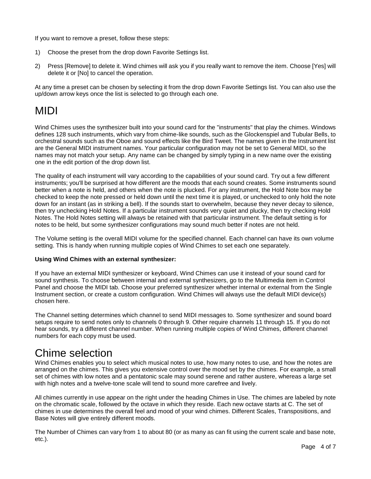If you want to remove a preset, follow these steps:

- 1) Choose the preset from the drop down Favorite Settings list.
- 2) Press [Remove] to delete it. Wind chimes will ask you if you really want to remove the item. Choose [Yes] will delete it or [No] to cancel the operation.

At any time a preset can be chosen by selecting it from the drop down Favorite Settings list. You can also use the up/down arrow keys once the list is selected to go through each one.

## <span id="page-3-0"></span>MIDI

Wind Chimes uses the synthesizer built into your sound card for the "instruments" that play the chimes. Windows defines 128 such instruments, which vary from chime-like sounds, such as the Glockenspiel and Tubular Bells, to orchestral sounds such as the Oboe and sound effects like the Bird Tweet. The names given in the Instrument list are the General MIDI instrument names. Your particular configuration may not be set to General MIDI, so the names may not match your setup. Any name can be changed by simply typing in a new name over the existing one in the edit portion of the drop down list.

The quality of each instrument will vary according to the capabilities of your sound card. Try out a few different instruments; you'll be surprised at how different are the moods that each sound creates. Some instruments sound better when a note is held, and others when the note is plucked. For any instrument, the Hold Note box may be checked to keep the note pressed or held down until the next time it is played, or unchecked to only hold the note down for an instant (as in striking a bell). If the sounds start to overwhelm, because they never decay to silence, then try unchecking Hold Notes. If a particular instrument sounds very quiet and plucky, then try checking Hold Notes. The Hold Notes setting will always be retained with that particular instrument. The default setting is for notes to be held, but some synthesizer configurations may sound much better if notes are not held.

The Volume setting is the overall MIDI volume for the specified channel. Each channel can have its own volume setting. This is handy when running multiple copies of Wind Chimes to set each one separately.

### **Using Wind Chimes with an external synthesizer:**

If you have an external MIDI synthesizer or keyboard, Wind Chimes can use it instead of your sound card for sound synthesis. To choose between internal and external synthesizers, go to the Multimedia item in Control Panel and choose the MIDI tab. Choose your preferred synthesizer whether internal or external from the Single Instrument section, or create a custom configuration. Wind Chimes will always use the default MIDI device(s) chosen here.

The Channel setting determines which channel to send MIDI messages to. Some synthesizer and sound board setups require to send notes only to channels 0 through 9. Other require channels 11 through 15. If you do not hear sounds, try a different channel number. When running multiple copies of Wind Chimes, different channel numbers for each copy must be used.

## <span id="page-3-1"></span>Chime selection

Wind Chimes enables you to select which musical notes to use, how many notes to use, and how the notes are arranged on the chimes. This gives you extensive control over the mood set by the chimes. For example, a small set of chimes with low notes and a pentatonic scale may sound serene and rather austere, whereas a large set with high notes and a twelve-tone scale will tend to sound more carefree and lively.

All chimes currently in use appear on the right under the heading Chimes in Use. The chimes are labeled by note on the chromatic scale, followed by the octave in which they reside. Each new octave starts at C. The set of chimes in use determines the overall feel and mood of your wind chimes. Different Scales, Transpositions, and Base Notes will give entirely different moods.

The Number of Chimes can vary from 1 to about 80 (or as many as can fit using the current scale and base note, etc.).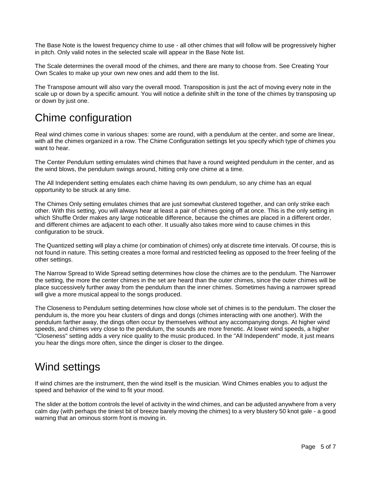The Base Note is the lowest frequency chime to use - all other chimes that will follow will be progressively higher in pitch. Only valid notes in the selected scale will appear in the Base Note list.

The Scale determines the overall mood of the chimes, and there are many to choose from. See Creating Your Own Scales to make up your own new ones and add them to the list.

The Transpose amount will also vary the overall mood. Transposition is just the act of moving every note in the scale up or down by a specific amount. You will notice a definite shift in the tone of the chimes by transposing up or down by just one.

## <span id="page-4-0"></span>Chime configuration

Real wind chimes come in various shapes: some are round, with a pendulum at the center, and some are linear, with all the chimes organized in a row. The Chime Configuration settings let you specify which type of chimes you want to hear.

The Center Pendulum setting emulates wind chimes that have a round weighted pendulum in the center, and as the wind blows, the pendulum swings around, hitting only one chime at a time.

The All Independent setting emulates each chime having its own pendulum, so any chime has an equal opportunity to be struck at any time.

The Chimes Only setting emulates chimes that are just somewhat clustered together, and can only strike each other. With this setting, you will always hear at least a pair of chimes going off at once. This is the only setting in which Shuffle Order makes any large noticeable difference, because the chimes are placed in a different order, and different chimes are adjacent to each other. It usually also takes more wind to cause chimes in this configuration to be struck.

The Quantized setting will play a chime (or combination of chimes) only at discrete time intervals. Of course, this is not found in nature. This setting creates a more formal and restricted feeling as opposed to the freer feeling of the other settings.

The Narrow Spread to Wide Spread setting determines how close the chimes are to the pendulum. The Narrower the setting, the more the center chimes in the set are heard than the outer chimes, since the outer chimes will be place successively further away from the pendulum than the inner chimes. Sometimes having a narrower spread will give a more musical appeal to the songs produced.

The Closeness to Pendulum setting determines how close whole set of chimes is to the pendulum. The closer the pendulum is, the more you hear clusters of dings and dongs (chimes interacting with one another). With the pendulum farther away, the dings often occur by themselves without any accompanying dongs. At higher wind speeds, and chimes very close to the pendulum, the sounds are more frenetic. At lower wind speeds, a higher "Closeness" setting adds a very nice quality to the music produced. In the "All Independent" mode, it just means you hear the dings more often, since the dinger is closer to the dingee.

### <span id="page-4-1"></span>Wind settings

If wind chimes are the instrument, then the wind itself is the musician. Wind Chimes enables you to adjust the speed and behavior of the wind to fit your mood.

The slider at the bottom controls the level of activity in the wind chimes, and can be adjusted anywhere from a very calm day (with perhaps the tiniest bit of breeze barely moving the chimes) to a very blustery 50 knot gale - a good warning that an ominous storm front is moving in.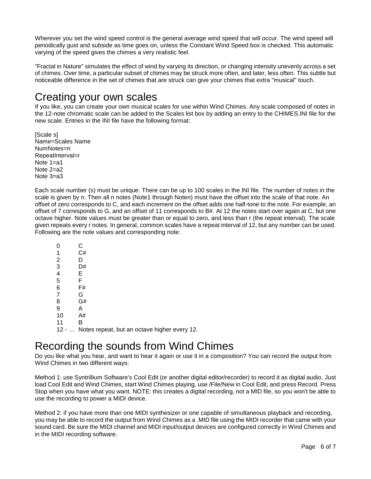Wherever you set the wind speed control is the general average wind speed that will occur. The wind speed will periodically gust and subside as time goes on, unless the Constant Wind Speed box is checked. This automatic varying of the speed gives the chimes a very realistic feel.

"Fractal in Nature" simulates the effect of wind by varying its direction, or changing intensity unevenly across a set of chimes. Over time, a particular subset of chimes may be struck more often, and later, less often. This subtle but noticeable difference in the set of chimes that are struck can give your chimes that extra "musical" touch.

## <span id="page-5-0"></span>Creating your own scales

If you like, you can create your own musical scales for use within Wind Chimes. Any scale composed of notes in the 12-note chromatic scale can be added to the Scales list box by adding an entry to the CHIMES.INI file for the new scale. Entries in the INI file have the following format:

[Scale s] Name=Scales Name NumNotes=n RepeatInterval=r Note 1=a1 Note 2=a2 Note 3=a3

Each scale number (s) must be unique. There can be up to 100 scales in the INI file. The number of notes in the scale is given by n. Then all n notes (Note1 through Noten) must have the offset into the scale of that note. An offset of zero corresponds to C, and each increment on the offset adds one half-tone to the note. For example, an offset of 7 corresponds to G, and an offset of 11 corresponds to B#. At 12 the notes start over again at C, but one octave higher. Note values must be greater than or equal to zero, and less than r (the repeat interval). The scale given repeats every r notes. In general, common scales have a repeat interval of 12, but any number can be used. Following are the note values and corresponding note:

| 1       | C#                                           |
|---------|----------------------------------------------|
| 2       |                                              |
| 3       | D#                                           |
| 4       | Е                                            |
| 5       | F                                            |
| 6       | F#                                           |
|         | G                                            |
| 8       | G#                                           |
| 9       | А                                            |
| 10      | A#                                           |
| 11      | в                                            |
| $12 - $ | Notes repeat, but an octave higher every 12. |

## <span id="page-5-1"></span>Recording the sounds from Wind Chimes

Do you like what you hear, and want to hear it again or use it in a composition? You can record the output from Wind Chimes in two different ways:

Method 1: use Syntrillium Software's Cool Edit (or another digital editor/recorder) to record it as digital audio. Just load Cool Edit and Wind Chimes, start Wind Chimes playing, use /File/New in Cool Edit, and press Record. Press Stop when you have what you want. NOTE: this creates a digital recording, not a MID file, so you won't be able to use the recording to power a MIDI device.

Method 2: if you have more than one MIDI synthesizer or one capable of simultaneous playback and recording, you may be able to record the output from Wind Chimes as a .MID file using the MIDI recorder that came with your sound card. Be sure the MIDI channel and MIDI input/output devices are configured correctly in Wind Chimes and in the MIDI recording software.